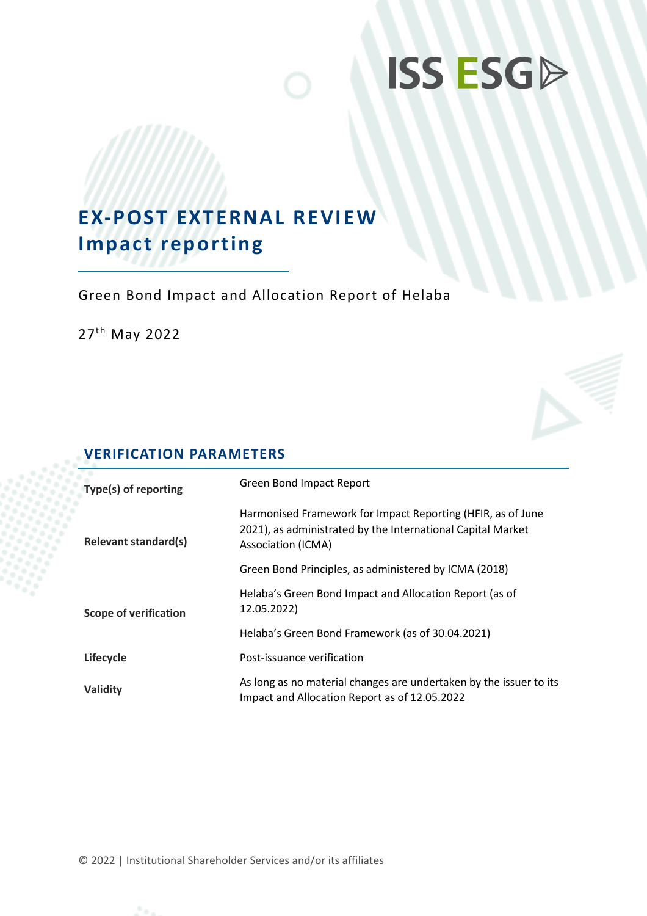# **ISS ESGD**

## **EX-POST EXTERNAL REVIEW Impact reporting**

Green Bond Impact and Allocation Report of Helaba

27<sup>th</sup> May 2022

## **VERIFICATION PARAMETERS**

| Type(s) of reporting         | Green Bond Impact Report                                                                                                                         |
|------------------------------|--------------------------------------------------------------------------------------------------------------------------------------------------|
| <b>Relevant standard(s)</b>  | Harmonised Framework for Impact Reporting (HFIR, as of June<br>2021), as administrated by the International Capital Market<br>Association (ICMA) |
|                              | Green Bond Principles, as administered by ICMA (2018)                                                                                            |
| <b>Scope of verification</b> | Helaba's Green Bond Impact and Allocation Report (as of<br>12.05.2022)                                                                           |
|                              | Helaba's Green Bond Framework (as of 30.04.2021)                                                                                                 |
| Lifecycle                    | Post-issuance verification                                                                                                                       |
| Validity                     | As long as no material changes are undertaken by the issuer to its<br>Impact and Allocation Report as of 12.05.2022                              |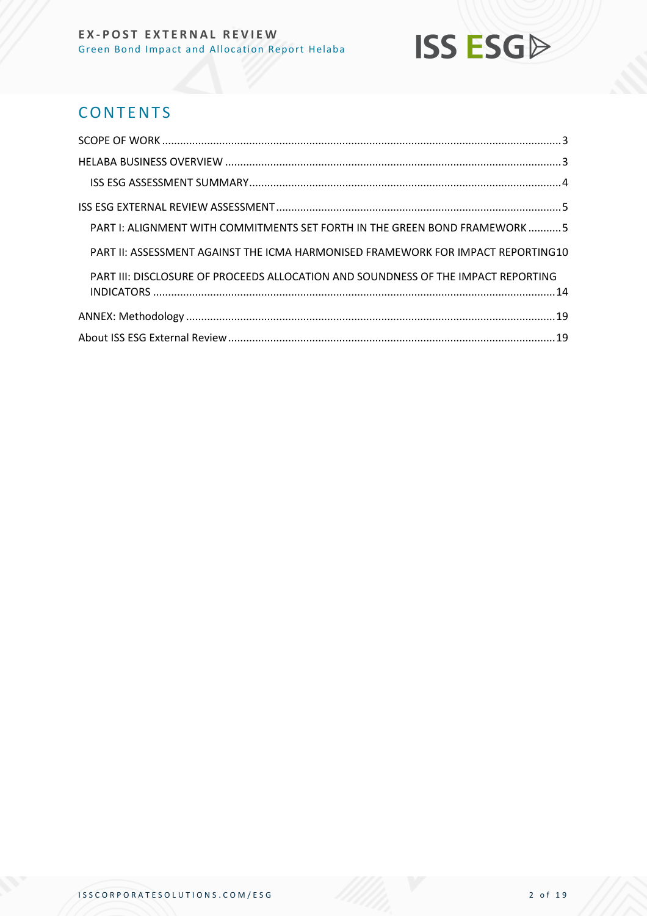## **ISS ESG**

## **CONTENTS**

| PART I: ALIGNMENT WITH COMMITMENTS SET FORTH IN THE GREEN BOND FRAMEWORK5         |  |
|-----------------------------------------------------------------------------------|--|
| PART II: ASSESSMENT AGAINST THE ICMA HARMONISED FRAMEWORK FOR IMPACT REPORTING10  |  |
| PART III: DISCLOSURE OF PROCEEDS ALLOCATION AND SOUNDNESS OF THE IMPACT REPORTING |  |
|                                                                                   |  |
|                                                                                   |  |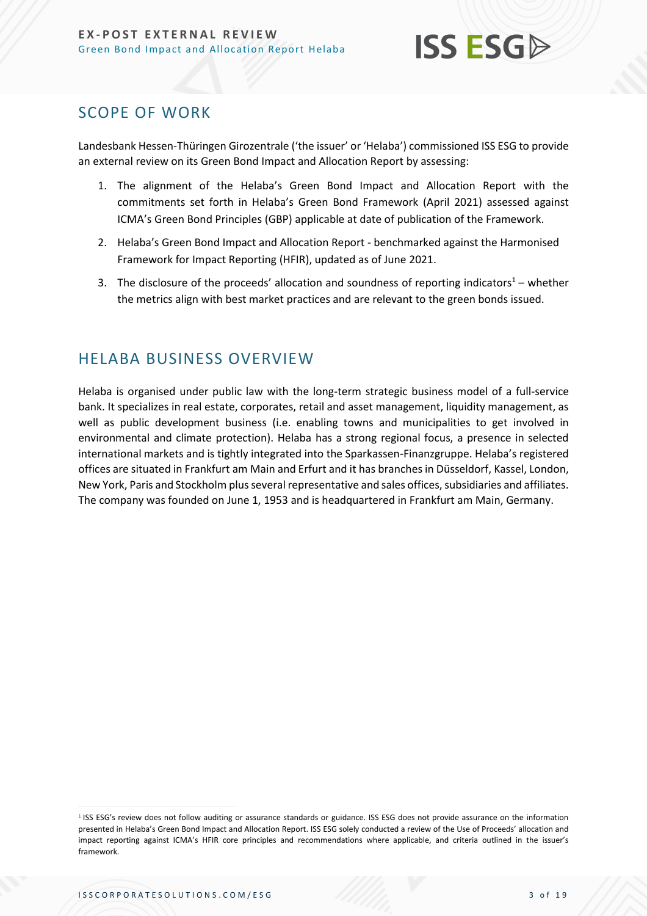

## <span id="page-2-0"></span>SCOPE OF WORK

Landesbank Hessen-Thüringen Girozentrale ('the issuer' or 'Helaba') commissioned ISS ESG to provide an external review on its Green Bond Impact and Allocation Report by assessing:

- 1. The alignment of the Helaba's Green Bond Impact and Allocation Report with the commitments set forth in Helaba's Green Bond Framework (April 2021) assessed against ICMA's Green Bond Principles (GBP) applicable at date of publication of the Framework.
- 2. Helaba's Green Bond Impact and Allocation Report benchmarked against the Harmonised Framework for Impact Reporting (HFIR), updated as of June 2021.
- 3. The disclosure of the proceeds' allocation and soundness of reporting indicators<sup>1</sup> whether the metrics align with best market practices and are relevant to the green bonds issued.

## <span id="page-2-1"></span>HELABA BUSINESS OVERVIEW

Helaba is organised under public law with the long-term strategic business model of a full-service bank. It specializes in real estate, corporates, retail and asset management, liquidity management, as well as public development business (i.e. enabling towns and municipalities to get involved in environmental and climate protection). Helaba has a strong regional focus, a presence in selected international markets and is tightly integrated into the Sparkassen-Finanzgruppe. Helaba's registered offices are situated in Frankfurt am Main and Erfurt and it has branches in Düsseldorf, Kassel, London, New York, Paris and Stockholm plus several representative and sales offices, subsidiaries and affiliates. The company was founded on June 1, 1953 and is headquartered in Frankfurt am Main, Germany.

<sup>&</sup>lt;sup>1</sup> ISS ESG's review does not follow auditing or assurance standards or guidance. ISS ESG does not provide assurance on the information presented in Helaba's Green Bond Impact and Allocation Report. ISS ESG solely conducted a review of the Use of Proceeds' allocation and impact reporting against ICMA's HFIR core principles and recommendations where applicable, and criteria outlined in the issuer's framework.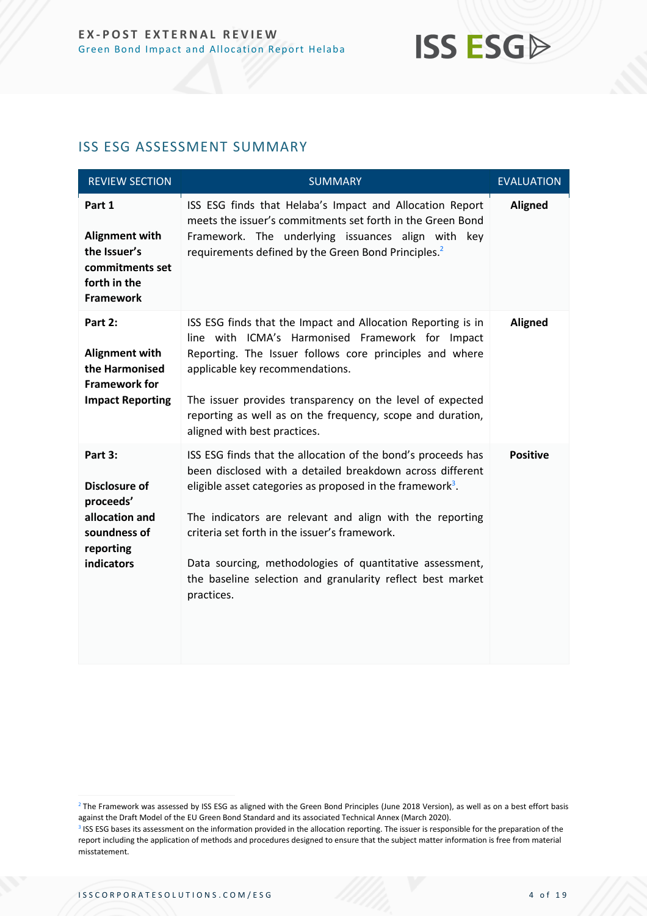

#### <span id="page-3-0"></span>ISS ESG ASSESSMENT SUMMARY

| <b>REVIEW SECTION</b>                                                                                     | <b>SUMMARY</b>                                                                                                                                                                                                                                                                                                                                                                                                                                          | <b>EVALUATION</b> |
|-----------------------------------------------------------------------------------------------------------|---------------------------------------------------------------------------------------------------------------------------------------------------------------------------------------------------------------------------------------------------------------------------------------------------------------------------------------------------------------------------------------------------------------------------------------------------------|-------------------|
| Part 1<br>Alignment with<br>the Issuer's<br>commitments set<br>forth in the<br><b>Framework</b>           | ISS ESG finds that Helaba's Impact and Allocation Report<br>meets the issuer's commitments set forth in the Green Bond<br>Framework. The underlying issuances align with key<br>requirements defined by the Green Bond Principles. <sup>2</sup>                                                                                                                                                                                                         | <b>Aligned</b>    |
| Part 2:<br>Alignment with<br>the Harmonised<br><b>Framework for</b><br><b>Impact Reporting</b>            | ISS ESG finds that the Impact and Allocation Reporting is in<br>line with ICMA's Harmonised Framework for Impact<br>Reporting. The Issuer follows core principles and where<br>applicable key recommendations.<br>The issuer provides transparency on the level of expected<br>reporting as well as on the frequency, scope and duration,<br>aligned with best practices.                                                                               | <b>Aligned</b>    |
| Part 3:<br><b>Disclosure of</b><br>proceeds'<br>allocation and<br>soundness of<br>reporting<br>indicators | ISS ESG finds that the allocation of the bond's proceeds has<br>been disclosed with a detailed breakdown across different<br>eligible asset categories as proposed in the framework <sup>3</sup> .<br>The indicators are relevant and align with the reporting<br>criteria set forth in the issuer's framework.<br>Data sourcing, methodologies of quantitative assessment,<br>the baseline selection and granularity reflect best market<br>practices. | <b>Positive</b>   |

<sup>&</sup>lt;sup>2</sup> The Framework was assessed by ISS ESG as aligned with the Green Bond Principles (June 2018 Version), as well as on a best effort basis against the Draft Model of the EU Green Bond Standard and its associated Technical Annex (March 2020).

<sup>&</sup>lt;sup>3</sup> ISS ESG bases its assessment on the information provided in the allocation reporting. The issuer is responsible for the preparation of the report including the application of methods and procedures designed to ensure that the subject matter information is free from material misstatement.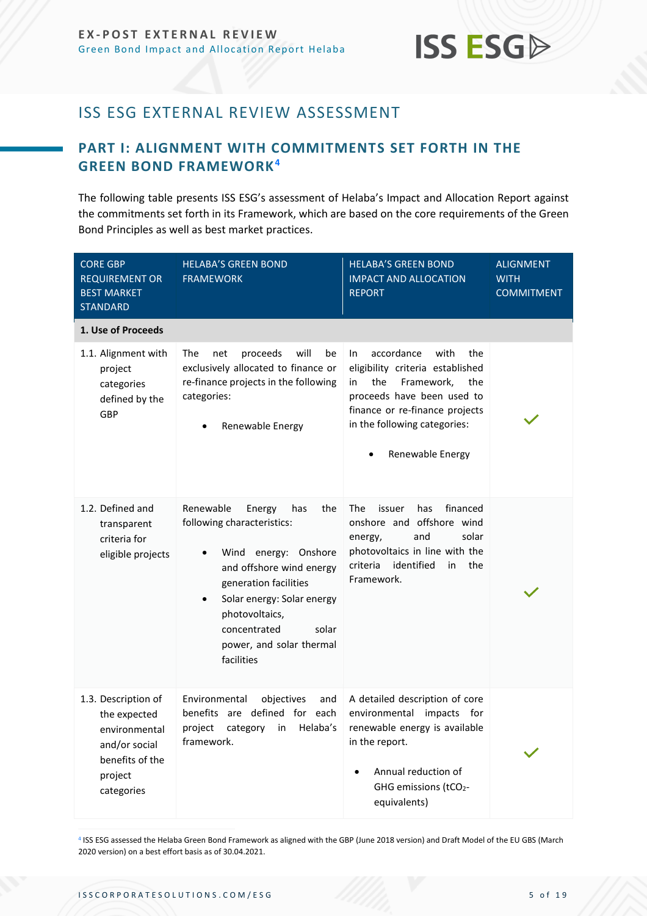

## <span id="page-4-0"></span>ISS ESG EXTERNAL REVIEW ASSESSMENT

### <span id="page-4-1"></span>**PART I: ALIGNMENT WITH COMMITMENTS SET FORTH IN THE GREEN BOND FRAMEWORK<sup>4</sup>**

The following table presents ISS ESG's assessment of Helaba's Impact and Allocation Report against the commitments set forth in its Framework, which are based on the core requirements of the Green Bond Principles as well as best market practices.

| <b>CORE GBP</b><br><b>REQUIREMENT OR</b><br><b>BEST MARKET</b><br><b>STANDARD</b>                                 | <b>HELABA'S GREEN BOND</b><br><b>FRAMEWORK</b>                                                                                                                                                                                                                               | <b>HELABA'S GREEN BOND</b><br><b>IMPACT AND ALLOCATION</b><br><b>REPORT</b>                                                                                                                                                | ALIGNMENT<br><b>WITH</b><br><b>COMMITMENT</b> |
|-------------------------------------------------------------------------------------------------------------------|------------------------------------------------------------------------------------------------------------------------------------------------------------------------------------------------------------------------------------------------------------------------------|----------------------------------------------------------------------------------------------------------------------------------------------------------------------------------------------------------------------------|-----------------------------------------------|
| 1. Use of Proceeds                                                                                                |                                                                                                                                                                                                                                                                              |                                                                                                                                                                                                                            |                                               |
| 1.1. Alignment with<br>project<br>categories<br>defined by the<br>GBP                                             | will<br>The<br>proceeds<br>be<br>net<br>exclusively allocated to finance or<br>re-finance projects in the following<br>categories:<br>Renewable Energy                                                                                                                       | accordance<br>with<br>In.<br>the<br>eligibility criteria established<br>the<br>in<br>Framework,<br>the<br>proceeds have been used to<br>finance or re-finance projects<br>in the following categories:<br>Renewable Energy |                                               |
| 1.2. Defined and<br>transparent<br>criteria for<br>eligible projects                                              | Renewable<br>the<br>Energy<br>has<br>following characteristics:<br>Wind energy: Onshore<br>and offshore wind energy<br>generation facilities<br>Solar energy: Solar energy<br>$\bullet$<br>photovoltaics,<br>concentrated<br>solar<br>power, and solar thermal<br>facilities | financed<br>The<br>has<br>issuer<br>onshore and offshore wind<br>and<br>solar<br>energy,<br>photovoltaics in line with the<br>criteria<br>identified<br>in<br>the<br>Framework.                                            |                                               |
| 1.3. Description of<br>the expected<br>environmental<br>and/or social<br>benefits of the<br>project<br>categories | Environmental<br>objectives<br>and<br>benefits are defined for each<br>project<br>category<br>Helaba's<br>in<br>framework.                                                                                                                                                   | A detailed description of core<br>environmental impacts for<br>renewable energy is available<br>in the report.<br>Annual reduction of<br>GHG emissions (tCO2-<br>equivalents)                                              |                                               |

4 ISS ESG assessed the Helaba Green Bond Framework as aligned with the GBP (June 2018 version) and Draft Model of the EU GBS (March 2020 version) on a best effort basis as of 30.04.2021.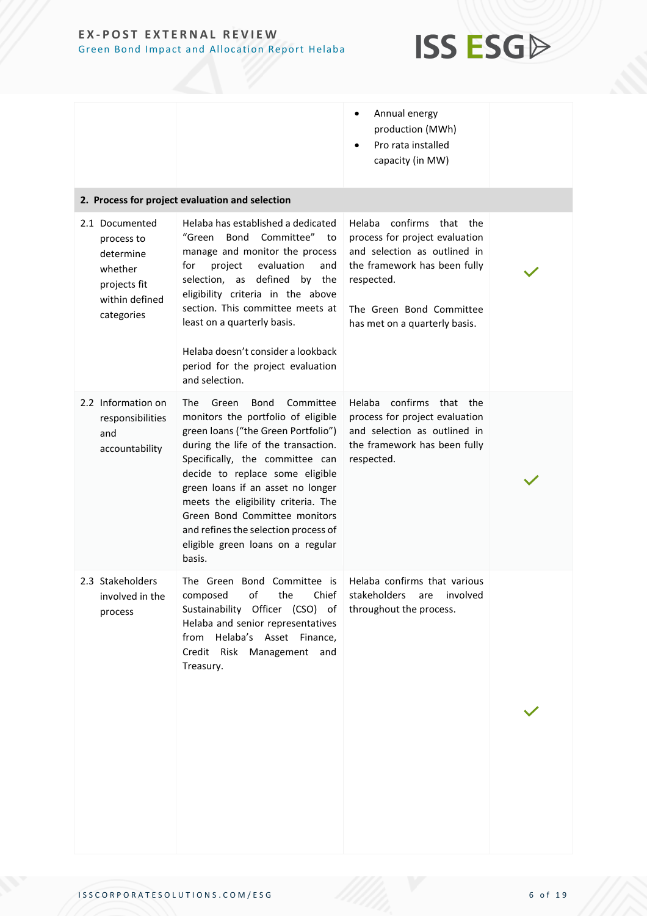

|                                                                                                      |                                                                                                                                                                                                                                                                                                                                                                                                                                 | Annual energy<br>$\bullet$<br>production (MWh)<br>Pro rata installed<br>capacity (in MW)                                                                                                                    |  |
|------------------------------------------------------------------------------------------------------|---------------------------------------------------------------------------------------------------------------------------------------------------------------------------------------------------------------------------------------------------------------------------------------------------------------------------------------------------------------------------------------------------------------------------------|-------------------------------------------------------------------------------------------------------------------------------------------------------------------------------------------------------------|--|
|                                                                                                      | 2. Process for project evaluation and selection                                                                                                                                                                                                                                                                                                                                                                                 |                                                                                                                                                                                                             |  |
| 2.1 Documented<br>process to<br>determine<br>whether<br>projects fit<br>within defined<br>categories | Helaba has established a dedicated<br>"Green<br>Bond Committee" to<br>manage and monitor the process<br>for<br>project<br>evaluation<br>and<br>defined by the<br>selection, as<br>eligibility criteria in the above<br>section. This committee meets at<br>least on a quarterly basis.<br>Helaba doesn't consider a lookback<br>period for the project evaluation<br>and selection.                                             | confirms<br>Helaba<br>that the<br>process for project evaluation<br>and selection as outlined in<br>the framework has been fully<br>respected.<br>The Green Bond Committee<br>has met on a quarterly basis. |  |
| 2.2 Information on<br>responsibilities<br>and<br>accountability                                      | The<br>Green<br>Bond<br>Committee<br>monitors the portfolio of eligible<br>green loans ("the Green Portfolio")<br>during the life of the transaction.<br>Specifically, the committee can<br>decide to replace some eligible<br>green loans if an asset no longer<br>meets the eligibility criteria. The<br>Green Bond Committee monitors<br>and refines the selection process of<br>eligible green loans on a regular<br>basis. | confirms<br>Helaba<br>that the<br>process for project evaluation<br>and selection as outlined in<br>the framework has been fully<br>respected.                                                              |  |
| 2.3 Stakeholders<br>involved in the<br>process                                                       | The Green Bond Committee is<br>of<br>the<br>Chief<br>composed<br>Sustainability Officer (CSO) of<br>Helaba and senior representatives<br>from Helaba's Asset Finance,<br>Credit Risk Management and<br>Treasury.                                                                                                                                                                                                                | Helaba confirms that various<br>stakeholders<br>are<br>involved<br>throughout the process.                                                                                                                  |  |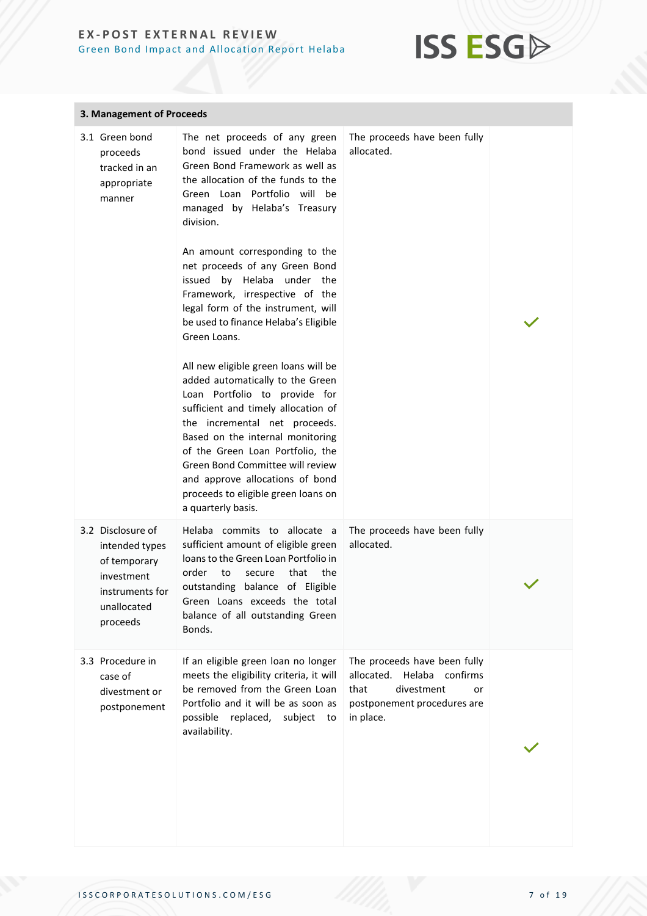

| 3. Management of Proceeds                                                                                       |                                                                                                                                                                                                                                                                                                                                                                                                                                                                                                                                                                                                                                                                                                                                                                                                                                                        |                                                                                                                                    |  |
|-----------------------------------------------------------------------------------------------------------------|--------------------------------------------------------------------------------------------------------------------------------------------------------------------------------------------------------------------------------------------------------------------------------------------------------------------------------------------------------------------------------------------------------------------------------------------------------------------------------------------------------------------------------------------------------------------------------------------------------------------------------------------------------------------------------------------------------------------------------------------------------------------------------------------------------------------------------------------------------|------------------------------------------------------------------------------------------------------------------------------------|--|
| 3.1 Green bond<br>proceeds<br>tracked in an<br>appropriate<br>manner                                            | The net proceeds of any green<br>bond issued under the Helaba<br>Green Bond Framework as well as<br>the allocation of the funds to the<br>Green Loan Portfolio will be<br>managed by Helaba's Treasury<br>division.<br>An amount corresponding to the<br>net proceeds of any Green Bond<br>issued by Helaba under the<br>Framework, irrespective of the<br>legal form of the instrument, will<br>be used to finance Helaba's Eligible<br>Green Loans.<br>All new eligible green loans will be<br>added automatically to the Green<br>Loan Portfolio to provide for<br>sufficient and timely allocation of<br>the incremental net proceeds.<br>Based on the internal monitoring<br>of the Green Loan Portfolio, the<br>Green Bond Committee will review<br>and approve allocations of bond<br>proceeds to eligible green loans on<br>a quarterly basis. | The proceeds have been fully<br>allocated.                                                                                         |  |
| 3.2 Disclosure of<br>intended types<br>of temporary<br>investment<br>instruments for<br>unallocated<br>proceeds | Helaba commits to allocate a<br>sufficient amount of eligible green<br>loans to the Green Loan Portfolio in<br>order<br>to<br>that<br>the<br>secure<br>outstanding balance of Eligible<br>Green Loans exceeds the total<br>balance of all outstanding Green<br>Bonds.                                                                                                                                                                                                                                                                                                                                                                                                                                                                                                                                                                                  | The proceeds have been fully<br>allocated.                                                                                         |  |
| 3.3 Procedure in<br>case of<br>divestment or<br>postponement                                                    | If an eligible green loan no longer<br>meets the eligibility criteria, it will<br>be removed from the Green Loan<br>Portfolio and it will be as soon as<br>possible replaced, subject to<br>availability.                                                                                                                                                                                                                                                                                                                                                                                                                                                                                                                                                                                                                                              | The proceeds have been fully<br>allocated. Helaba confirms<br>divestment<br>that<br>or<br>postponement procedures are<br>in place. |  |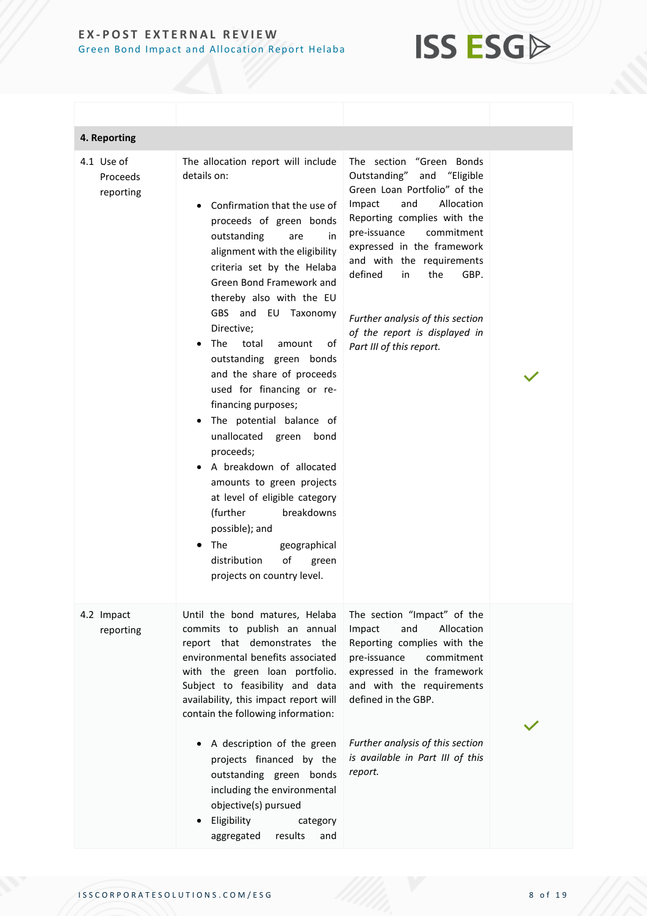

| 4. Reporting                        |                                                                                                                                                                                                                                                                                                                                                                                                                                                                                                                                                                                                                                                                                                                                                                  |                                                                                                                                                                                                                                                                                                                                                                                |  |
|-------------------------------------|------------------------------------------------------------------------------------------------------------------------------------------------------------------------------------------------------------------------------------------------------------------------------------------------------------------------------------------------------------------------------------------------------------------------------------------------------------------------------------------------------------------------------------------------------------------------------------------------------------------------------------------------------------------------------------------------------------------------------------------------------------------|--------------------------------------------------------------------------------------------------------------------------------------------------------------------------------------------------------------------------------------------------------------------------------------------------------------------------------------------------------------------------------|--|
| 4.1 Use of<br>Proceeds<br>reporting | The allocation report will include<br>details on:<br>Confirmation that the use of<br>proceeds of green bonds<br>outstanding<br>in<br>are<br>alignment with the eligibility<br>criteria set by the Helaba<br>Green Bond Framework and<br>thereby also with the EU<br>GBS and EU Taxonomy<br>Directive;<br>The<br>total<br>amount<br>οf<br>outstanding green bonds<br>and the share of proceeds<br>used for financing or re-<br>financing purposes;<br>. The potential balance of<br>unallocated green<br>bond<br>proceeds;<br>A breakdown of allocated<br>amounts to green projects<br>at level of eligible category<br>breakdowns<br>(further<br>possible); and<br>The<br>geographical<br>$\bullet$<br>distribution<br>οf<br>green<br>projects on country level. | The section "Green Bonds<br>Outstanding" and "Eligible<br>Green Loan Portfolio" of the<br>and<br>Allocation<br>Impact<br>Reporting complies with the<br>pre-issuance<br>commitment<br>expressed in the framework<br>and with the requirements<br>defined<br>GBP.<br>the<br>in<br>Further analysis of this section<br>of the report is displayed in<br>Part III of this report. |  |
| 4.2 Impact<br>reporting             | Until the bond matures, Helaba<br>commits to publish an annual<br>report that demonstrates the<br>environmental benefits associated<br>with the green loan portfolio.<br>Subject to feasibility and data<br>availability, this impact report will<br>contain the following information:<br>A description of the green<br>projects financed by the<br>outstanding green bonds<br>including the environmental<br>objective(s) pursued<br>Eligibility<br>category<br>results<br>aggregated<br>and                                                                                                                                                                                                                                                                   | The section "Impact" of the<br>and<br>Allocation<br>Impact<br>Reporting complies with the<br>pre-issuance<br>commitment<br>expressed in the framework<br>and with the requirements<br>defined in the GBP.<br>Further analysis of this section<br>is available in Part III of this<br>report.                                                                                   |  |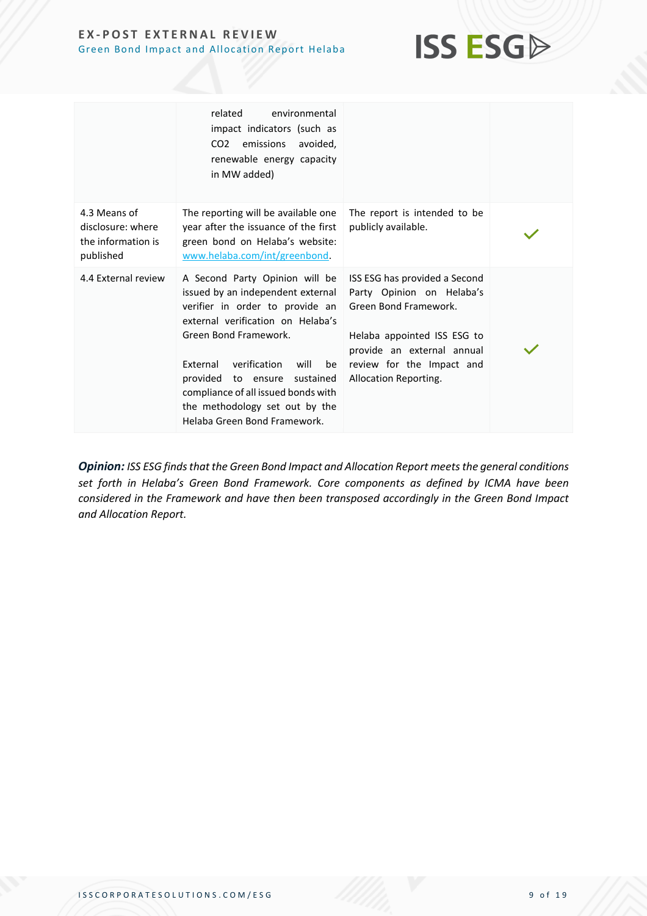

|                                                                      | related<br>environmental<br>impact indicators (such as<br>CO <sub>2</sub> emissions<br>avoided,<br>renewable energy capacity<br>in MW added)                                                                                                                                                                                                                   |                                                                                                                                                                                                        |  |
|----------------------------------------------------------------------|----------------------------------------------------------------------------------------------------------------------------------------------------------------------------------------------------------------------------------------------------------------------------------------------------------------------------------------------------------------|--------------------------------------------------------------------------------------------------------------------------------------------------------------------------------------------------------|--|
| 4.3 Means of<br>disclosure: where<br>the information is<br>published | The reporting will be available one<br>year after the issuance of the first<br>green bond on Helaba's website:<br>www.helaba.com/int/greenbond.                                                                                                                                                                                                                | The report is intended to be<br>publicly available.                                                                                                                                                    |  |
| 4.4 External review                                                  | A Second Party Opinion will be<br>issued by an independent external<br>verifier in order to provide an<br>external verification on Helaba's<br>Green Bond Framework.<br><b>External</b><br>verification<br>will<br>be<br>provided to ensure sustained<br>compliance of all issued bonds with<br>the methodology set out by the<br>Helaba Green Bond Framework. | ISS ESG has provided a Second<br>Party Opinion on Helaba's<br>Green Bond Framework.<br>Helaba appointed ISS ESG to<br>provide an external annual<br>review for the Impact and<br>Allocation Reporting. |  |

**Opinion:** ISS ESG finds that the Green Bond Impact and Allocation Report meets the general conditions *set forth in Helaba's Green Bond Framework. Core components as defined by ICMA have been considered in the Framework and have then been transposed accordingly in the Green Bond Impact and Allocation Report.*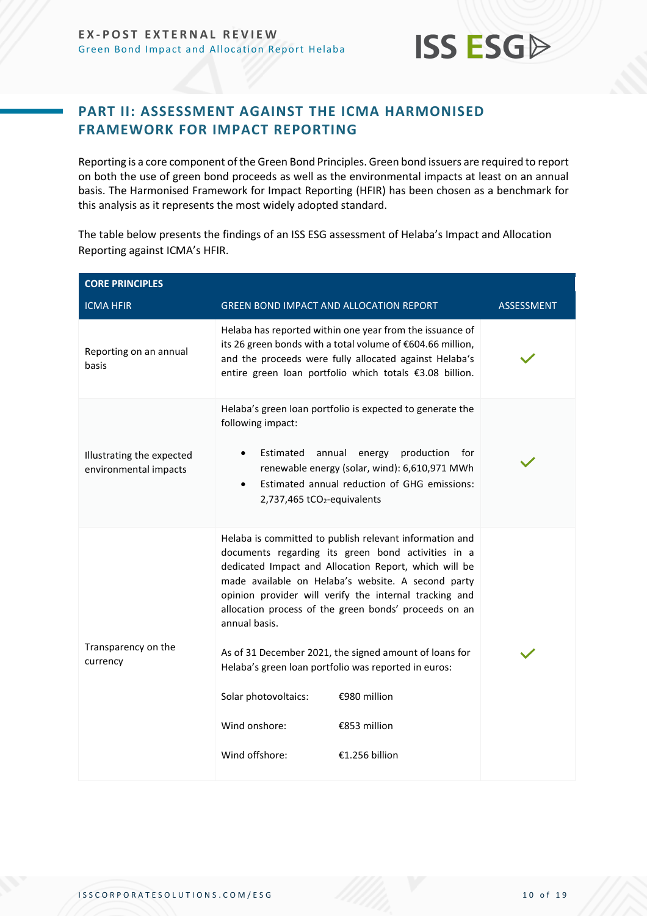

### <span id="page-9-0"></span>**PART II: ASSESSMENT AGAINST THE ICMA HARMONISED FRAMEWORK FOR IMPACT REPORTING**

Reporting is a core component of the Green Bond Principles. Green bond issuers are required to report on both the use of green bond proceeds as well as the environmental impacts at least on an annual basis. The Harmonised Framework for Impact Reporting (HFIR) has been chosen as a benchmark for this analysis as it represents the most widely adopted standard.

The table below presents the findings of an ISS ESG assessment of Helaba's Impact and Allocation Reporting against ICMA's HFIR.

| <b>GREEN BOND IMPACT AND ALLOCATION REPORT</b>                                                                                                                                                                                                                                             |                                                          | <b>ASSESSMENT</b>                                                                                                                                                                                                                                                                                                                                                                                                                                                                                                                                                                                                                                                                                      |
|--------------------------------------------------------------------------------------------------------------------------------------------------------------------------------------------------------------------------------------------------------------------------------------------|----------------------------------------------------------|--------------------------------------------------------------------------------------------------------------------------------------------------------------------------------------------------------------------------------------------------------------------------------------------------------------------------------------------------------------------------------------------------------------------------------------------------------------------------------------------------------------------------------------------------------------------------------------------------------------------------------------------------------------------------------------------------------|
|                                                                                                                                                                                                                                                                                            |                                                          |                                                                                                                                                                                                                                                                                                                                                                                                                                                                                                                                                                                                                                                                                                        |
|                                                                                                                                                                                                                                                                                            | Helaba has reported within one year from the issuance of |                                                                                                                                                                                                                                                                                                                                                                                                                                                                                                                                                                                                                                                                                                        |
| Helaba's green loan portfolio is expected to generate the<br>following impact:<br>Estimated<br>annual<br>energy production<br>for<br>$\bullet$<br>renewable energy (solar, wind): 6,610,971 MWh<br>Estimated annual reduction of GHG emissions:<br>$\bullet$<br>2,737,465 tCO2-equivalents |                                                          |                                                                                                                                                                                                                                                                                                                                                                                                                                                                                                                                                                                                                                                                                                        |
| annual basis.<br>Solar photovoltaics:<br>Wind onshore:<br>Wind offshore:                                                                                                                                                                                                                   |                                                          |                                                                                                                                                                                                                                                                                                                                                                                                                                                                                                                                                                                                                                                                                                        |
|                                                                                                                                                                                                                                                                                            |                                                          | its 26 green bonds with a total volume of €604.66 million,<br>and the proceeds were fully allocated against Helaba's<br>entire green loan portfolio which totals €3.08 billion.<br>Helaba is committed to publish relevant information and<br>documents regarding its green bond activities in a<br>dedicated Impact and Allocation Report, which will be<br>made available on Helaba's website. A second party<br>opinion provider will verify the internal tracking and<br>allocation process of the green bonds' proceeds on an<br>As of 31 December 2021, the signed amount of loans for<br>Helaba's green loan portfolio was reported in euros:<br>€980 million<br>€853 million<br>€1.256 billion |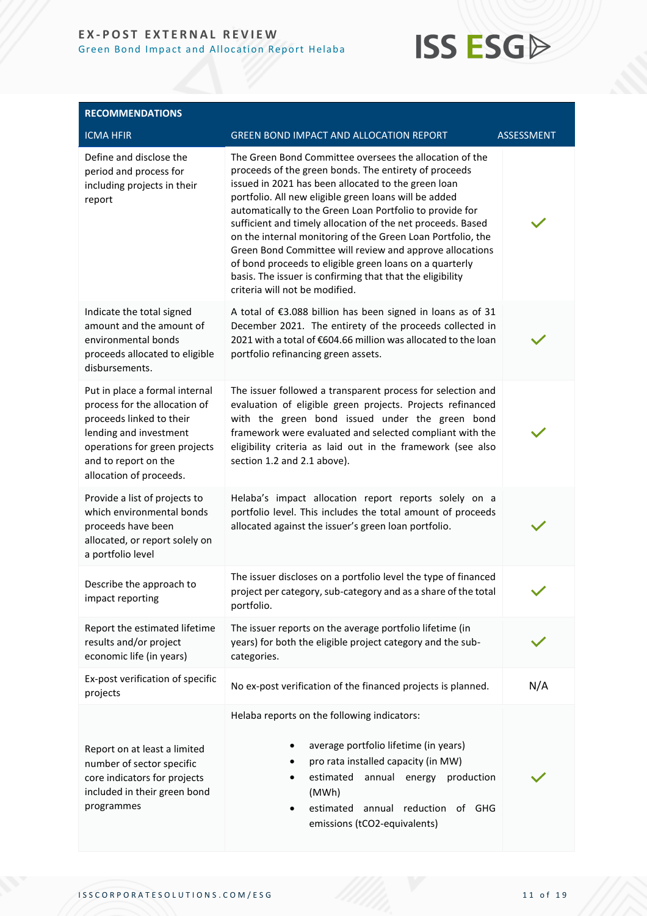

| <b>RECOMMENDATIONS</b>                                                                                                                                                                                    |                                                                                                                                                                                                                                                                                                                                                                                                                                                                                                                                                                                                                                                  |            |
|-----------------------------------------------------------------------------------------------------------------------------------------------------------------------------------------------------------|--------------------------------------------------------------------------------------------------------------------------------------------------------------------------------------------------------------------------------------------------------------------------------------------------------------------------------------------------------------------------------------------------------------------------------------------------------------------------------------------------------------------------------------------------------------------------------------------------------------------------------------------------|------------|
| <b>ICMA HFIR</b>                                                                                                                                                                                          | <b>GREEN BOND IMPACT AND ALLOCATION REPORT</b>                                                                                                                                                                                                                                                                                                                                                                                                                                                                                                                                                                                                   | ASSESSMENT |
| Define and disclose the<br>period and process for<br>including projects in their<br>report                                                                                                                | The Green Bond Committee oversees the allocation of the<br>proceeds of the green bonds. The entirety of proceeds<br>issued in 2021 has been allocated to the green loan<br>portfolio. All new eligible green loans will be added<br>automatically to the Green Loan Portfolio to provide for<br>sufficient and timely allocation of the net proceeds. Based<br>on the internal monitoring of the Green Loan Portfolio, the<br>Green Bond Committee will review and approve allocations<br>of bond proceeds to eligible green loans on a quarterly<br>basis. The issuer is confirming that that the eligibility<br>criteria will not be modified. |            |
| Indicate the total signed<br>amount and the amount of<br>environmental bonds<br>proceeds allocated to eligible<br>disbursements.                                                                          | A total of €3.088 billion has been signed in loans as of 31<br>December 2021. The entirety of the proceeds collected in<br>2021 with a total of €604.66 million was allocated to the loan<br>portfolio refinancing green assets.                                                                                                                                                                                                                                                                                                                                                                                                                 |            |
| Put in place a formal internal<br>process for the allocation of<br>proceeds linked to their<br>lending and investment<br>operations for green projects<br>and to report on the<br>allocation of proceeds. | The issuer followed a transparent process for selection and<br>evaluation of eligible green projects. Projects refinanced<br>with the green bond issued under the green bond<br>framework were evaluated and selected compliant with the<br>eligibility criteria as laid out in the framework (see also<br>section 1.2 and 2.1 above).                                                                                                                                                                                                                                                                                                           |            |
| Provide a list of projects to<br>which environmental bonds<br>proceeds have been<br>allocated, or report solely on<br>a portfolio level                                                                   | Helaba's impact allocation report reports solely on a<br>portfolio level. This includes the total amount of proceeds<br>allocated against the issuer's green loan portfolio.                                                                                                                                                                                                                                                                                                                                                                                                                                                                     |            |
| Describe the approach to<br>impact reporting                                                                                                                                                              | The issuer discloses on a portfolio level the type of financed<br>project per category, sub-category and as a share of the total<br>portfolio.                                                                                                                                                                                                                                                                                                                                                                                                                                                                                                   |            |
| Report the estimated lifetime<br>results and/or project<br>economic life (in years)                                                                                                                       | The issuer reports on the average portfolio lifetime (in<br>years) for both the eligible project category and the sub-<br>categories.                                                                                                                                                                                                                                                                                                                                                                                                                                                                                                            |            |
| Ex-post verification of specific<br>projects                                                                                                                                                              | No ex-post verification of the financed projects is planned.                                                                                                                                                                                                                                                                                                                                                                                                                                                                                                                                                                                     | N/A        |
| Report on at least a limited<br>number of sector specific<br>core indicators for projects<br>included in their green bond<br>programmes                                                                   | Helaba reports on the following indicators:<br>average portfolio lifetime (in years)<br>pro rata installed capacity (in MW)<br>estimated<br>annual energy<br>production<br>(MWh)<br>estimated annual reduction<br>of GHG<br>٠<br>emissions (tCO2-equivalents)                                                                                                                                                                                                                                                                                                                                                                                    |            |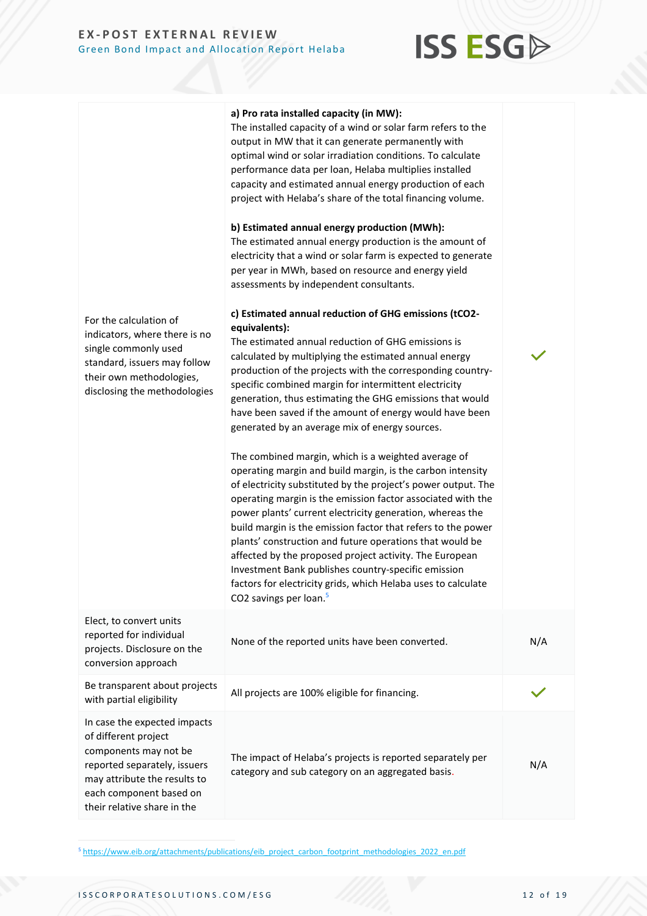## **ISS ESG**

| For the calculation of<br>indicators, where there is no<br>single commonly used<br>standard, issuers may follow<br>their own methodologies,<br>disclosing the methodologies                             | a) Pro rata installed capacity (in MW):<br>The installed capacity of a wind or solar farm refers to the<br>output in MW that it can generate permanently with<br>optimal wind or solar irradiation conditions. To calculate<br>performance data per loan, Helaba multiplies installed<br>capacity and estimated annual energy production of each<br>project with Helaba's share of the total financing volume.<br>b) Estimated annual energy production (MWh):<br>The estimated annual energy production is the amount of<br>electricity that a wind or solar farm is expected to generate<br>per year in MWh, based on resource and energy yield<br>assessments by independent consultants.<br>c) Estimated annual reduction of GHG emissions (tCO2-<br>equivalents):<br>The estimated annual reduction of GHG emissions is<br>calculated by multiplying the estimated annual energy<br>production of the projects with the corresponding country-<br>specific combined margin for intermittent electricity<br>generation, thus estimating the GHG emissions that would<br>have been saved if the amount of energy would have been<br>generated by an average mix of energy sources.<br>The combined margin, which is a weighted average of<br>operating margin and build margin, is the carbon intensity<br>of electricity substituted by the project's power output. The<br>operating margin is the emission factor associated with the<br>power plants' current electricity generation, whereas the<br>build margin is the emission factor that refers to the power<br>plants' construction and future operations that would be<br>affected by the proposed project activity. The European<br>Investment Bank publishes country-specific emission<br>factors for electricity grids, which Helaba uses to calculate<br>CO2 savings per loan. <sup>5</sup> |     |
|---------------------------------------------------------------------------------------------------------------------------------------------------------------------------------------------------------|--------------------------------------------------------------------------------------------------------------------------------------------------------------------------------------------------------------------------------------------------------------------------------------------------------------------------------------------------------------------------------------------------------------------------------------------------------------------------------------------------------------------------------------------------------------------------------------------------------------------------------------------------------------------------------------------------------------------------------------------------------------------------------------------------------------------------------------------------------------------------------------------------------------------------------------------------------------------------------------------------------------------------------------------------------------------------------------------------------------------------------------------------------------------------------------------------------------------------------------------------------------------------------------------------------------------------------------------------------------------------------------------------------------------------------------------------------------------------------------------------------------------------------------------------------------------------------------------------------------------------------------------------------------------------------------------------------------------------------------------------------------------------------------------------------------------------------------------------------------|-----|
| Elect, to convert units<br>reported for individual<br>projects. Disclosure on the<br>conversion approach                                                                                                | None of the reported units have been converted.                                                                                                                                                                                                                                                                                                                                                                                                                                                                                                                                                                                                                                                                                                                                                                                                                                                                                                                                                                                                                                                                                                                                                                                                                                                                                                                                                                                                                                                                                                                                                                                                                                                                                                                                                                                                              | N/A |
| Be transparent about projects<br>with partial eligibility                                                                                                                                               | All projects are 100% eligible for financing.                                                                                                                                                                                                                                                                                                                                                                                                                                                                                                                                                                                                                                                                                                                                                                                                                                                                                                                                                                                                                                                                                                                                                                                                                                                                                                                                                                                                                                                                                                                                                                                                                                                                                                                                                                                                                |     |
| In case the expected impacts<br>of different project<br>components may not be<br>reported separately, issuers<br>may attribute the results to<br>each component based on<br>their relative share in the | The impact of Helaba's projects is reported separately per<br>category and sub category on an aggregated basis.                                                                                                                                                                                                                                                                                                                                                                                                                                                                                                                                                                                                                                                                                                                                                                                                                                                                                                                                                                                                                                                                                                                                                                                                                                                                                                                                                                                                                                                                                                                                                                                                                                                                                                                                              | N/A |

<sup>5</sup> [https://www.eib.org/attachments/publications/eib\\_project\\_carbon\\_footprint\\_methodologies\\_2022\\_en.pdf](https://www.eib.org/attachments/publications/eib_project_carbon_footprint_methodologies_2022_en.pdf)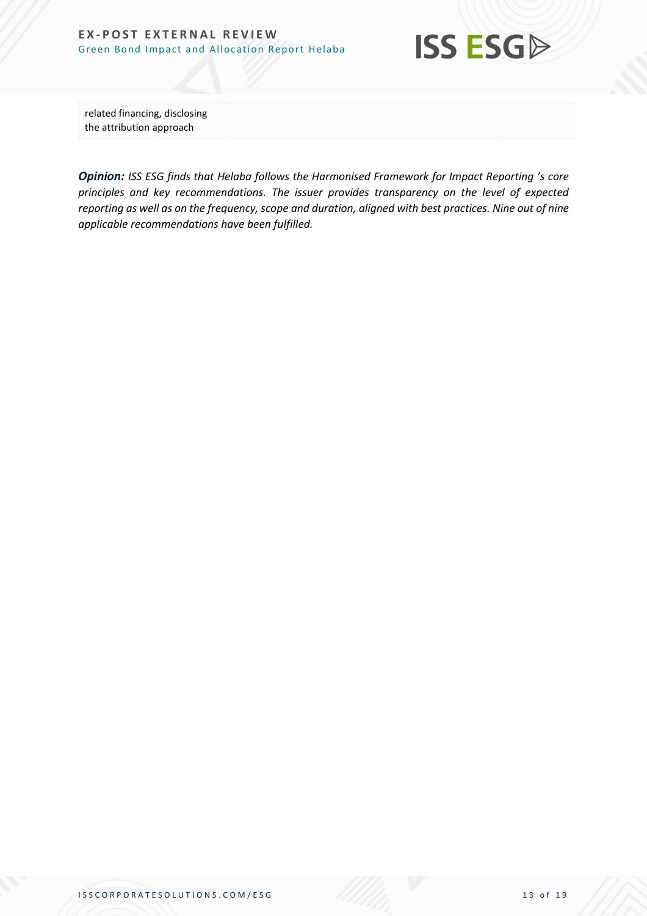

related financing, disclosing the attribution approach

*Opinion: ISS ESG finds that Helaba follows the Harmonised Framework for Impact Reporting 's core principles and key recommendations. The issuer provides transparency on the level of expected reporting as well as on the frequency, scope and duration, aligned with best practices. Nine out of nine applicable recommendations have been fulfilled.*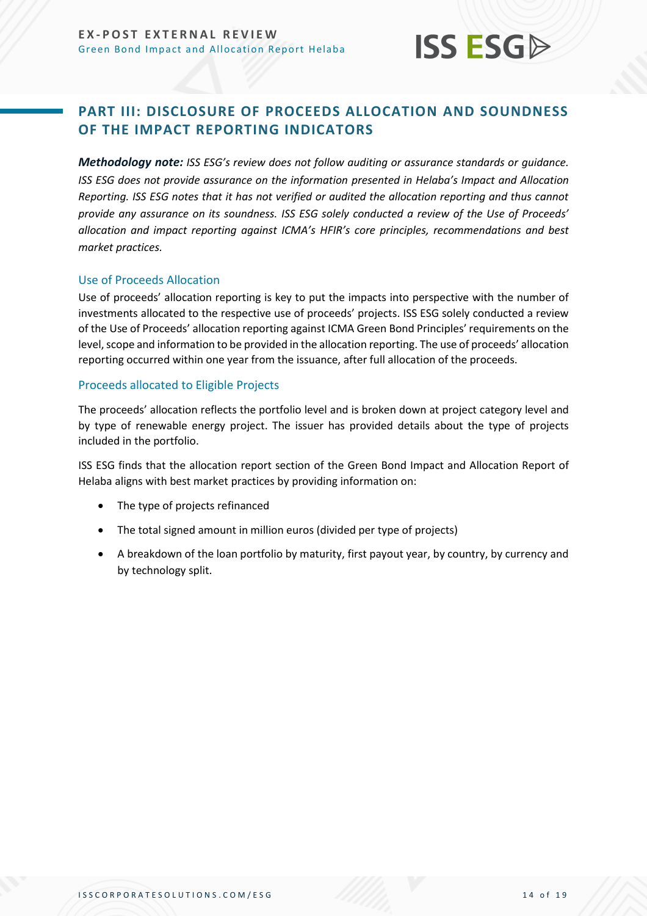## **ISS ESG**

## <span id="page-13-0"></span>**PART III: DISCLOSURE OF PROCEEDS ALLOCATION AND SOUNDNESS OF THE IMPACT REPORTING INDICATORS**

*Methodology note: ISS ESG's review does not follow auditing or assurance standards or guidance. ISS ESG does not provide assurance on the information presented in Helaba's Impact and Allocation Reporting. ISS ESG notes that it has not verified or audited the allocation reporting and thus cannot provide any assurance on its soundness. ISS ESG solely conducted a review of the Use of Proceeds' allocation and impact reporting against ICMA's HFIR's core principles, recommendations and best market practices.*

#### Use of Proceeds Allocation

Use of proceeds' allocation reporting is key to put the impacts into perspective with the number of investments allocated to the respective use of proceeds' projects. ISS ESG solely conducted a review of the Use of Proceeds' allocation reporting against ICMA Green Bond Principles' requirements on the level, scope and information to be provided in the allocation reporting. The use of proceeds' allocation reporting occurred within one year from the issuance, after full allocation of the proceeds.

#### Proceeds allocated to Eligible Projects

The proceeds' allocation reflects the portfolio level and is broken down at project category level and by type of renewable energy project. The issuer has provided details about the type of projects included in the portfolio.

ISS ESG finds that the allocation report section of the Green Bond Impact and Allocation Report of Helaba aligns with best market practices by providing information on:

- The type of projects refinanced
- The total signed amount in million euros (divided per type of projects)
- A breakdown of the loan portfolio by maturity, first payout year, by country, by currency and by technology split.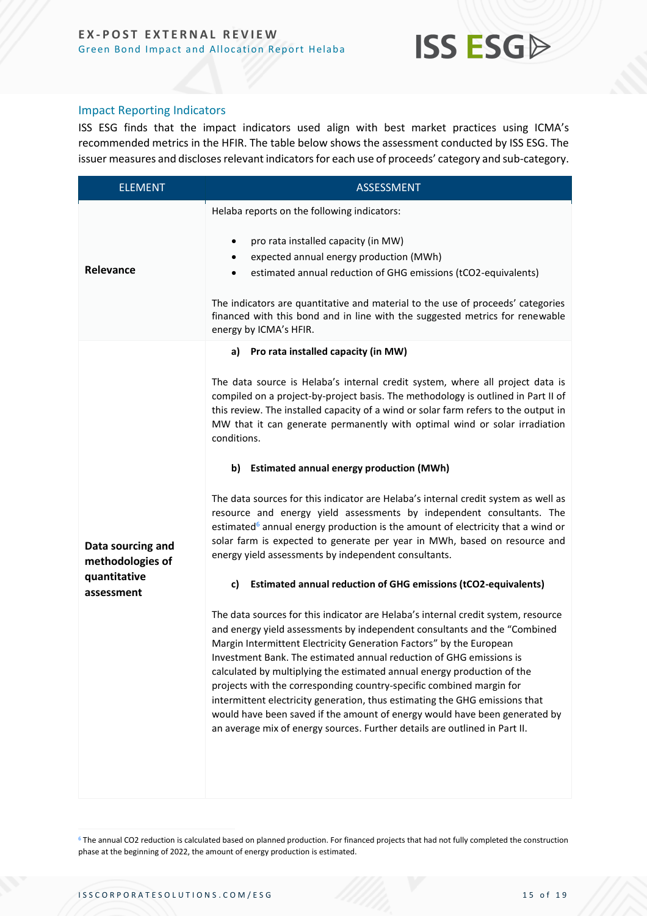

#### Impact Reporting Indicators

ISS ESG finds that the impact indicators used align with best market practices using ICMA's recommended metrics in the HFIR. The table below shows the assessment conducted by ISS ESG. The issuer measures and discloses relevant indicators for each use of proceeds' category and sub-category.

| <b>ELEMENT</b>                                                      | <b>ASSESSMENT</b>                                                                                                                                                                                                                                                                                                                                                                                                                                                                                                                                                                                                                                                                                                                                                                                                                                                                                                                                                                                                                                                                                                                                                                                                                                                                                                                                                                                                                                                                                                                                                                                                                               |
|---------------------------------------------------------------------|-------------------------------------------------------------------------------------------------------------------------------------------------------------------------------------------------------------------------------------------------------------------------------------------------------------------------------------------------------------------------------------------------------------------------------------------------------------------------------------------------------------------------------------------------------------------------------------------------------------------------------------------------------------------------------------------------------------------------------------------------------------------------------------------------------------------------------------------------------------------------------------------------------------------------------------------------------------------------------------------------------------------------------------------------------------------------------------------------------------------------------------------------------------------------------------------------------------------------------------------------------------------------------------------------------------------------------------------------------------------------------------------------------------------------------------------------------------------------------------------------------------------------------------------------------------------------------------------------------------------------------------------------|
| Relevance                                                           | Helaba reports on the following indicators:<br>pro rata installed capacity (in MW)<br>٠<br>expected annual energy production (MWh)<br>٠<br>estimated annual reduction of GHG emissions (tCO2-equivalents)<br>The indicators are quantitative and material to the use of proceeds' categories<br>financed with this bond and in line with the suggested metrics for renewable<br>energy by ICMA's HFIR.                                                                                                                                                                                                                                                                                                                                                                                                                                                                                                                                                                                                                                                                                                                                                                                                                                                                                                                                                                                                                                                                                                                                                                                                                                          |
| Data sourcing and<br>methodologies of<br>quantitative<br>assessment | a) Pro rata installed capacity (in MW)<br>The data source is Helaba's internal credit system, where all project data is<br>compiled on a project-by-project basis. The methodology is outlined in Part II of<br>this review. The installed capacity of a wind or solar farm refers to the output in<br>MW that it can generate permanently with optimal wind or solar irradiation<br>conditions.<br>b) Estimated annual energy production (MWh)<br>The data sources for this indicator are Helaba's internal credit system as well as<br>resource and energy yield assessments by independent consultants. The<br>estimated <sup>6</sup> annual energy production is the amount of electricity that a wind or<br>solar farm is expected to generate per year in MWh, based on resource and<br>energy yield assessments by independent consultants.<br><b>Estimated annual reduction of GHG emissions (tCO2-equivalents)</b><br>c)<br>The data sources for this indicator are Helaba's internal credit system, resource<br>and energy yield assessments by independent consultants and the "Combined<br>Margin Intermittent Electricity Generation Factors" by the European<br>Investment Bank. The estimated annual reduction of GHG emissions is<br>calculated by multiplying the estimated annual energy production of the<br>projects with the corresponding country-specific combined margin for<br>intermittent electricity generation, thus estimating the GHG emissions that<br>would have been saved if the amount of energy would have been generated by<br>an average mix of energy sources. Further details are outlined in Part II. |

<sup>6</sup> The annual CO2 reduction is calculated based on planned production. For financed projects that had not fully completed the construction phase at the beginning of 2022, the amount of energy production is estimated.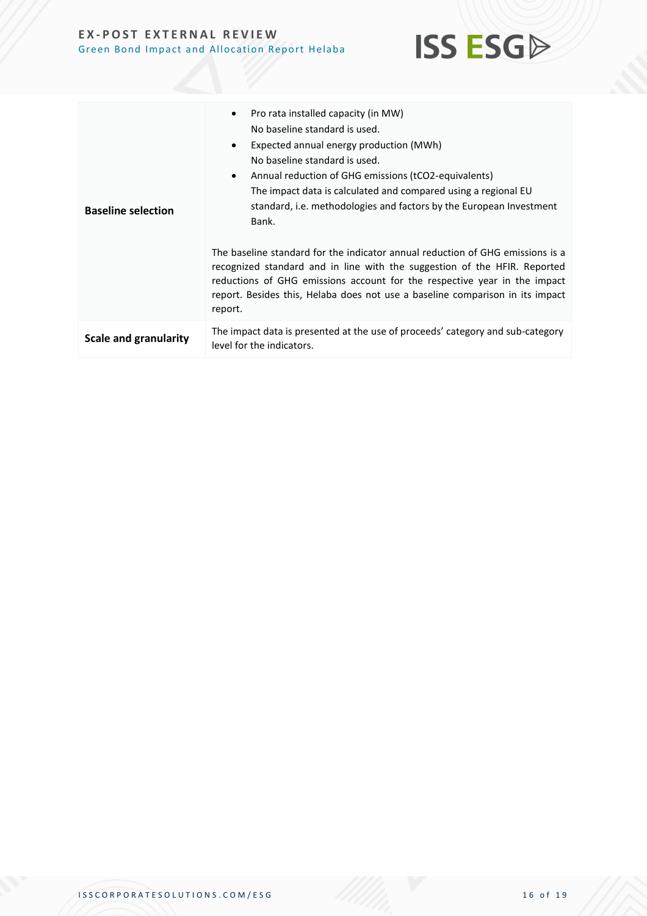

| <b>Baseline selection</b>    | Pro rata installed capacity (in MW)<br>٠<br>No baseline standard is used.<br>Expected annual energy production (MWh)<br>$\bullet$<br>No baseline standard is used.<br>Annual reduction of GHG emissions (tCO2-equivalents)<br>$\bullet$<br>The impact data is calculated and compared using a regional EU<br>standard, i.e. methodologies and factors by the European Investment<br>Bank.<br>The baseline standard for the indicator annual reduction of GHG emissions is a<br>recognized standard and in line with the suggestion of the HFIR. Reported<br>reductions of GHG emissions account for the respective year in the impact<br>report. Besides this, Helaba does not use a baseline comparison in its impact<br>report. |
|------------------------------|-----------------------------------------------------------------------------------------------------------------------------------------------------------------------------------------------------------------------------------------------------------------------------------------------------------------------------------------------------------------------------------------------------------------------------------------------------------------------------------------------------------------------------------------------------------------------------------------------------------------------------------------------------------------------------------------------------------------------------------|
| <b>Scale and granularity</b> | The impact data is presented at the use of proceeds' category and sub-category<br>level for the indicators.                                                                                                                                                                                                                                                                                                                                                                                                                                                                                                                                                                                                                       |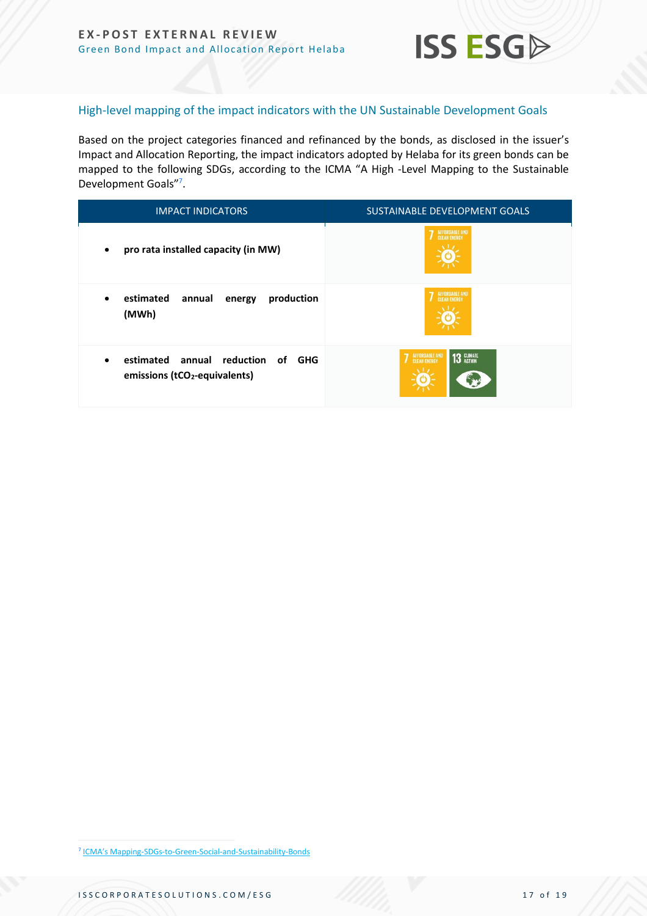

#### High-level mapping of the impact indicators with the UN Sustainable Development Goals

Based on the project categories financed and refinanced by the bonds, as disclosed in the issuer's Impact and Allocation Reporting, the impact indicators adopted by Helaba for its green bonds can be mapped to the following SDGs, according to the ICMA "A High -Level Mapping to the Sustainable Development Goals"<sup>7</sup>.

| <b>IMPACT INDICATORS</b>                                                                                 | SUSTAINABLE DEVELOPMENT GOALS                       |
|----------------------------------------------------------------------------------------------------------|-----------------------------------------------------|
| pro rata installed capacity (in MW)<br>٠                                                                 | AFFORDABLE AND<br>CLEAN ENERGY                      |
| estimated<br>production<br>annual<br>energy<br>٠<br>(MWh)                                                | <b><i>\FFORDABLE AND</i></b><br><b>CLEAN ENERGY</b> |
| estimated<br>annual reduction of<br><b>GHG</b><br>$\bullet$<br>emissions (tCO <sub>2</sub> -equivalents) | AFFORDABLE AND<br>CLEAN ENERGY<br>13 CLIMATE        |

<sup>7</sup> ICMA's Mapping-SDGs-to-Green-Social-and-Sustainability-Bonds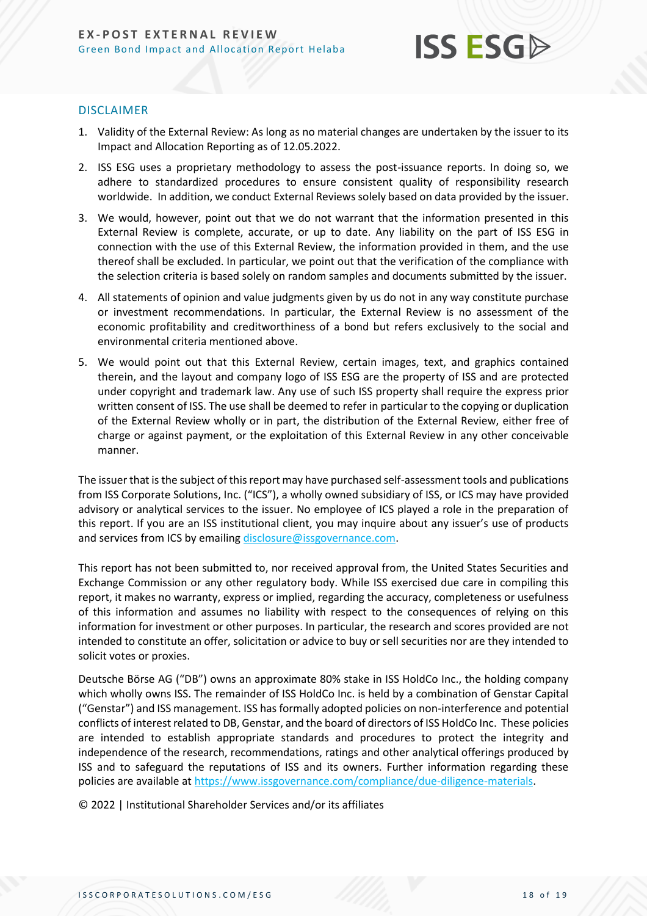

#### DISCLAIMER

- 1. Validity of the External Review: As long as no material changes are undertaken by the issuer to its Impact and Allocation Reporting as of 12.05.2022.
- 2. ISS ESG uses a proprietary methodology to assess the post-issuance reports. In doing so, we adhere to standardized procedures to ensure consistent quality of responsibility research worldwide. In addition, we conduct External Reviews solely based on data provided by the issuer.
- 3. We would, however, point out that we do not warrant that the information presented in this External Review is complete, accurate, or up to date. Any liability on the part of ISS ESG in connection with the use of this External Review, the information provided in them, and the use thereof shall be excluded. In particular, we point out that the verification of the compliance with the selection criteria is based solely on random samples and documents submitted by the issuer.
- 4. All statements of opinion and value judgments given by us do not in any way constitute purchase or investment recommendations. In particular, the External Review is no assessment of the economic profitability and creditworthiness of a bond but refers exclusively to the social and environmental criteria mentioned above.
- 5. We would point out that this External Review, certain images, text, and graphics contained therein, and the layout and company logo of ISS ESG are the property of ISS and are protected under copyright and trademark law. Any use of such ISS property shall require the express prior written consent of ISS. The use shall be deemed to refer in particular to the copying or duplication of the External Review wholly or in part, the distribution of the External Review, either free of charge or against payment, or the exploitation of this External Review in any other conceivable manner.

The issuer that is the subject of this report may have purchased self-assessment tools and publications from ISS Corporate Solutions, Inc. ("ICS"), a wholly owned subsidiary of ISS, or ICS may have provided advisory or analytical services to the issuer. No employee of ICS played a role in the preparation of this report. If you are an ISS institutional client, you may inquire about any issuer's use of products and services from ICS by emailin[g disclosure@issgovernance.com.](mailto:disclosure@issgovernance.com)

This report has not been submitted to, nor received approval from, the United States Securities and Exchange Commission or any other regulatory body. While ISS exercised due care in compiling this report, it makes no warranty, express or implied, regarding the accuracy, completeness or usefulness of this information and assumes no liability with respect to the consequences of relying on this information for investment or other purposes. In particular, the research and scores provided are not intended to constitute an offer, solicitation or advice to buy or sell securities nor are they intended to solicit votes or proxies.

Deutsche Börse AG ("DB") owns an approximate 80% stake in ISS HoldCo Inc., the holding company which wholly owns ISS. The remainder of ISS HoldCo Inc. is held by a combination of Genstar Capital ("Genstar") and ISS management. ISS has formally adopted policies on non-interference and potential conflicts of interest related to DB, Genstar, and the board of directors of ISS HoldCo Inc. These policies are intended to establish appropriate standards and procedures to protect the integrity and independence of the research, recommendations, ratings and other analytical offerings produced by ISS and to safeguard the reputations of ISS and its owners. Further information regarding these policies are available a[t https://www.issgovernance.com/compliance/due-diligence-materials.](https://www.issgovernance.com/compliance/due-diligence-materials)

© 2022 | Institutional Shareholder Services and/or its affiliates